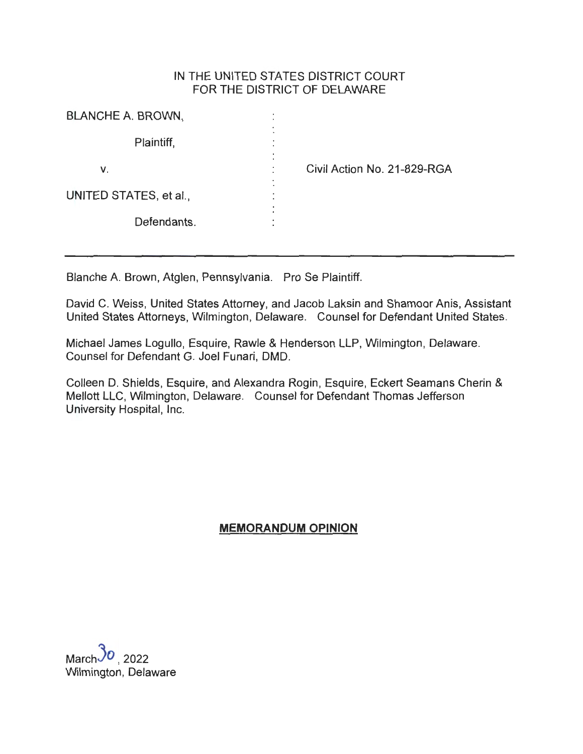## IN THE UNITED STATES DISTRICT COURT FOR THE DISTRICT OF DELAWARE

| <b>BLANCHE A. BROWN,</b>     |                             |
|------------------------------|-----------------------------|
| Plaintiff,<br>$\blacksquare$ |                             |
| ٠<br>v.                      | Civil Action No. 21-829-RGA |
| UNITED STATES, et al.,<br>۰  |                             |
| Defendants.                  |                             |

Blanche A. Brown, Atglen, Pennsylvania. Pro Se Plaintiff.

David C. Weiss, United States Attorney, and Jacob Laksin and Shamoor Anis, Assistant United States Attorneys, Wilmington, Delaware. Counsel for Defendant United States.

Michael James Logullo, Esquire, Rawle & Henderson LLP, Wilmington, Delaware. Counsel for Defendant G. Joel Funari, DMD.

Colleen D. Shields, Esquire, and Alexandra Rogin, Esquire, Eckert Seamans Cherin & Mellott LLC, Wilmington, Delaware. Counsel for Defendant Thomas Jefferson University Hospital, Inc.

# **MEMORANDUM OPINION**

March $30, 2022$ Wilmington, Delaware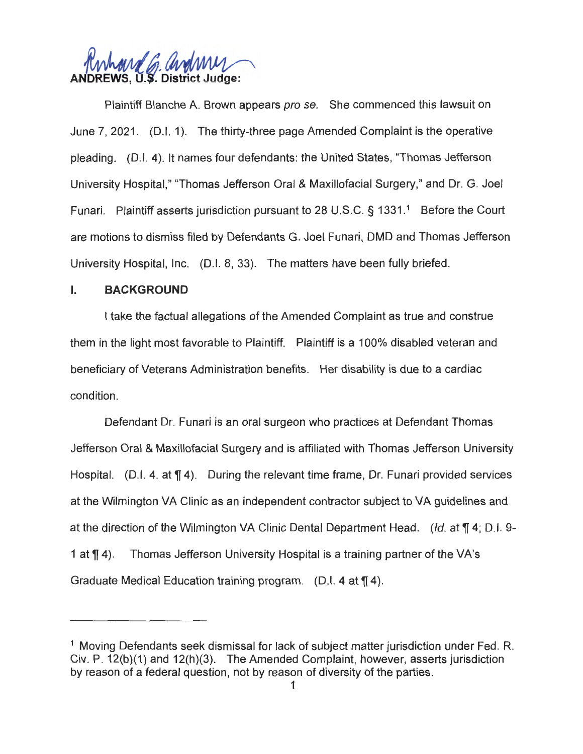

Plaintiff Blanche A. Brown appears pro se. She commenced this lawsuit on June 7, 2021. (D.I. 1). The thirty-three page Amended Complaint is the operative pleading. (D.I. 4). It names four defendants: the United States, "Thomas Jefferson University Hospital," "Thomas Jefferson Oral & Maxillofacial Surgery," and Dr. G. Joel Funari. Plaintiff asserts jurisdiction pursuant to 28 U.S.C. § 1331.<sup>1</sup> Before the Court are motions to dismiss filed by Defendants G. Joel Funari, DMD and Thomas Jefferson University Hospital, Inc. (D.I. 8, 33). The matters have been fully briefed.

## I. **BACKGROUND**

I take the factual allegations of the Amended Complaint as true and construe them in the light most favorable to Plaintiff. Plaintiff is a 100% disabled veteran and beneficiary of Veterans Administration benefits. Her disability is due to a cardiac condition.

Defendant Dr. Funari is an oral surgeon who practices at Defendant Thomas Jefferson Oral & Maxillofacial Surgery and is affiliated with Thomas Jefferson University Hospital. (D.I. 4. at  $\P$  4). During the relevant time frame, Dr. Funari provided services at the Wilmington VA Clinic as an independent contractor subject to VA guidelines and at the direction of the Wilmington VA Clinic Dental Department Head. (Id. at  $\P$  4; D.I. 9-1 at  $\P$  4). Thomas Jefferson University Hospital is a training partner of the VA's Graduate Medical Education training program. (D.I. 4 at  $\P$  4).

<sup>&</sup>lt;sup>1</sup> Moving Defendants seek dismissal for lack of subject matter jurisdiction under Fed. R. Civ. P. 12(b)(1) and 12(h)(3). The Amended Complaint, however, asserts jurisdiction by reason of a federal question, not by reason of diversity of the parties.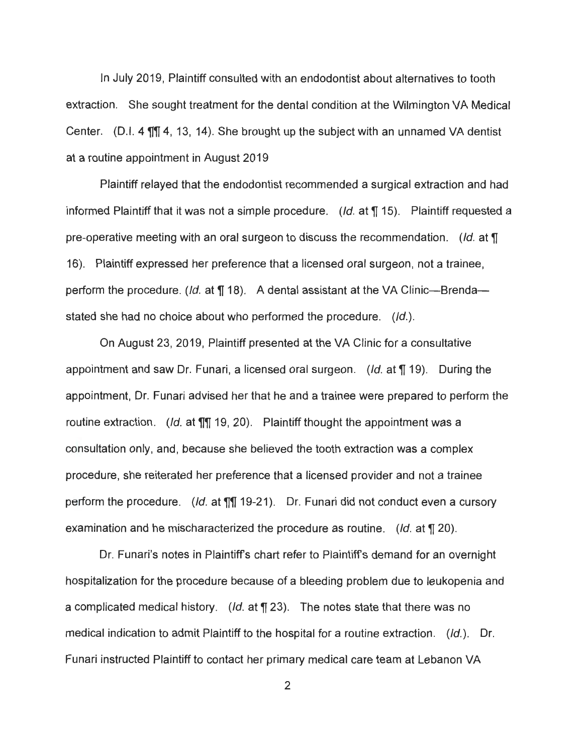In July 2019, Plaintiff consulted with an endodontist about alternatives to tooth extraction. She sought treatment for the dental condition at the Wilmington VA Medical Center. (D.I. 4  $\mathbb{II}$  4, 13, 14). She brought up the subject with an unnamed VA dentist at a routine appointment in August 2019

Plaintiff relayed that the endodontist recommended a surgical extraction and had informed Plaintiff that it was not a simple procedure. (*Id.* at  $\P$  15). Plaintiff requested a pre-operative meeting with an oral surgeon to discuss the recommendation. (Id. at  $\P$ 16). Plaintiff expressed her preference that a licensed oral surgeon, not a trainee, perform the procedure. (*Id.* at  $\P$  18). A dental assistant at the VA Clinic--Brenda-stated she had no choice about who performed the procedure. (Id.).

On August 23, 2019, Plaintiff presented at the VA Clinic for a consultative appointment and saw Dr. Funari, a licensed oral surgeon. (*Id.* at  $\P$  19). During the appointment, Dr. Funari advised her that he and a trainee were prepared to perform the routine extraction. (Id. at **11** 19, 20). Plaintiff thought the appointment was a consultation only, and, because she believed the tooth extraction was a complex procedure, she reiterated her preference that a licensed provider and not a trainee perform the procedure. (Id. at **1111** 19-21 ). Dr. Funari did not conduct even a cursory examination and he mischaracterized the procedure as routine. (Id. at **11** 20).

Dr. Funari's notes in Plaintiff's chart refer to Plaintiff's demand for an overnight hospitalization for the procedure because of a bleeding problem due to leukopenia and a complicated medical history. (*Id.* at  $\P$  23). The notes state that there was no medical indication to admit Plaintiff to the hospital for a routine extraction. (Id.). Dr. Funari instructed Plaintiff to contact her primary medical care team at Lebanon VA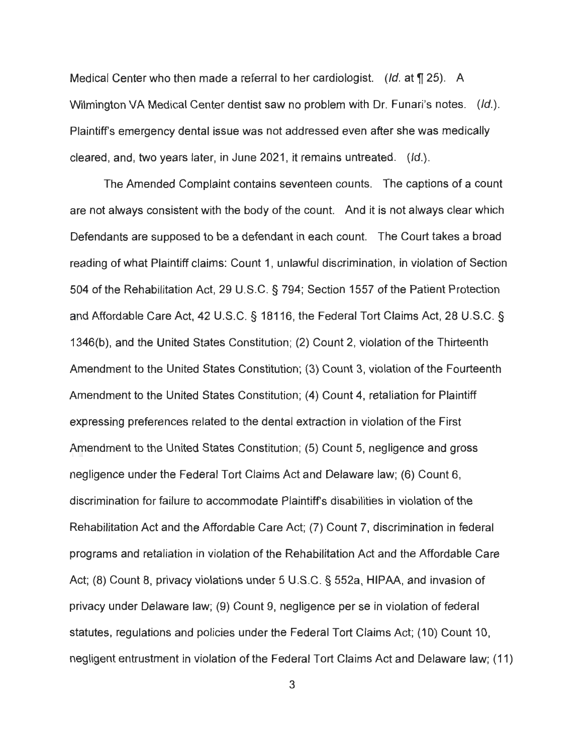Medical Center who then made a referral to her cardiologist. (Id. at  $\P$  25). A Wilmington VA Medical Center dentist saw no problem with Dr. Funari's notes. (Id.). Plaintiffs emergency dental issue was not addressed even after she was medically cleared, and, two years later, in June 2021, it remains untreated.  $(Id.)$ .

The Amended Complaint contains seventeen counts. The captions of a count are not always consistent with the body of the count. And it is not always clear which Defendants are supposed to be a defendant in each count. The Court takes a broad reading of what Plaintiff claims: Count 1, unlawful discrimination, in violation of Section 504 of the Rehabilitation Act, 29 U.S.C. § 794; Section 1557 of the Patient Protection and Affordable Care Act, 42 U.S.C. § 18116, the Federal Tort Claims Act, 28 U.S.C. § 1346(b), and the United States Constitution; (2) Count 2, violation of the Thirteenth Amendment to the United States Constitution; (3) Count 3, violation of the Fourteenth Amendment to the United States Constitution; (4) Count 4, retaliation for Plaintiff expressing preferences related to the dental extraction in violation of the First Amendment to the United States Constitution; (5) Count 5, negligence and gross negligence under the Federal Tort Claims Act and Delaware law; (6) Count 6, discrimination for failure to accommodate Plaintiffs disabilities in violation of the Rehabilitation Act and the Affordable Care Act; (7) Count 7, discrimination in federal programs and retaliation in violation of the Rehabilitation Act and the Affordable Care Act; (8) Count 8, privacy violations under 5 U.S.C. § 552a, HIPAA, and invasion of privacy under Delaware law; (9) Count 9, negligence per se in violation of federal statutes, regulations and policies under the Federal Tort Claims Act; (10) Count 10, negligent entrustment in violation of the Federal Tort Claims Act and Delaware law; (11)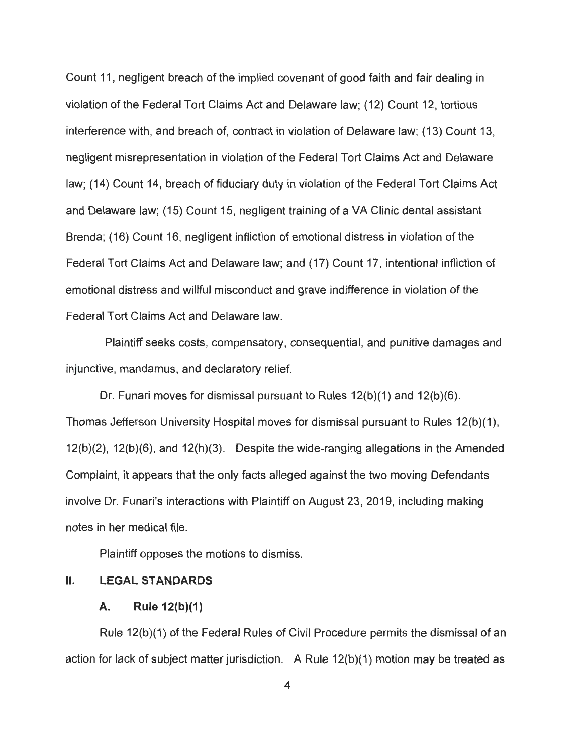Count 11, negligent breach of the implied covenant of good faith and fair dealing in violation of the Federal Tort Claims Act and Delaware law; (12) Count 12, tortious interference with, and breach of, contract in violation of Delaware law; (13) Count 13, negligent misrepresentation in violation of the Federal Tort Claims Act and Delaware law; (14) Count 14, breach of fiduciary duty in violation of the Federal Tort Claims Act and Delaware law; (15) Count 15, negligent training of a VA Clinic dental assistant Brenda; (16) Count 16, negligent infliction of emotional distress in violation of the Federal Tort Claims Act and Delaware law; and (17) Count 17, intentional infliction of emotional distress and willful misconduct and grave indifference in violation of the Federal Tort Claims Act and Delaware law.

Plaintiff seeks costs, compensatory, consequential, and punitive damages and injunctive, mandamus, and declaratory relief.

Dr. Funari moves for dismissal pursuant to Rules 12(b)(1) and 12(b)(6). Thomas Jefferson University Hospital moves for dismissal pursuant to Rules 12(b)(1), 12(b)(2), 12(b)(6), and 12(h)(3). Despite the wide-ranging allegations in the Amended Complaint, it appears that the only facts alleged against the two moving Defendants involve Dr. Funari's interactions with Plaintiff on August 23, 2019, including making notes in her medical file.

Plaintiff opposes the motions to dismiss.

#### II. **LEGAL STANDARDS**

#### **A. Rule 12(b)(1)**

Rule 12(b)(1) of the Federal Rules of Civil Procedure permits the dismissal of an action for lack of subject matter jurisdiction. A Rule 12(b)(1) motion may be treated as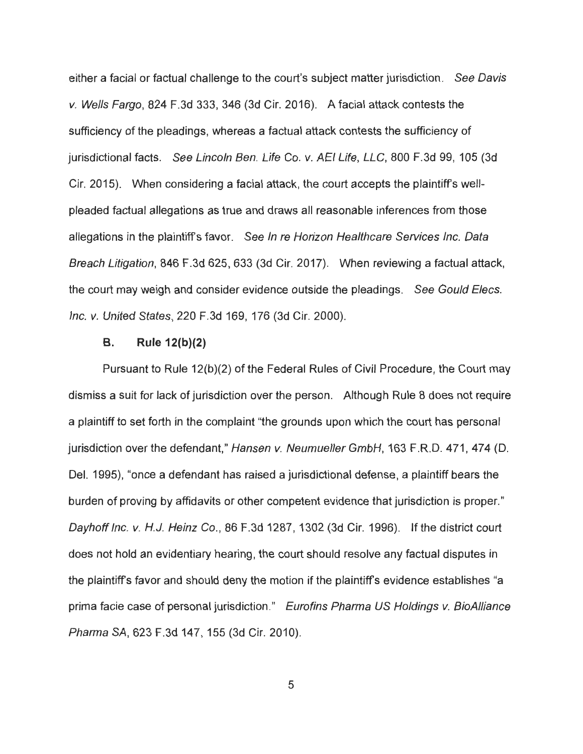either a facial or factual challenge to the court's subject matter jurisdiction. See Davis v. Wells Fargo, 824 F.3d 333, 346 (3d Cir. 2016). A facial attack contests the sufficiency of the pleadings, whereas a factual attack contests the sufficiency of jurisdictional facts. See Lincoln Ben. Life Co. v. AEI Life, LLC, 800 F.3d 99, 105 (3d Cir. 2015). When considering a facial attack, the court accepts the plaintiff's wellpleaded factual allegations as true and draws all reasonable inferences from those allegations in the plaintiff's favor. See In re Horizon Healthcare Services Inc. Data Breach Litigation, 846 F.3d 625, 633 (3d Cir. 2017). When reviewing a factual attack, the court may weigh and consider evidence outside the pleadings. See Gould Elecs. Inc. v. United States, 220 F.3d 169, 176 (3d Cir. 2000).

### **B. Rule 12(b)(2)**

Pursuant to Rule 12(b)(2) of the Federal Rules of Civil Procedure, the Court may dismiss a suit for lack of jurisdiction over the person. Although Rule 8 does not require a plaintiff to set forth in the complaint "the grounds upon which the court has personal jurisdiction over the defendant," Hansen v. Neumueller GmbH, 163 F.R.D. 471, 474 (D. Del. 1995), "once a defendant has raised a jurisdictional defense, a plaintiff bears the burden of proving by affidavits or other competent evidence that jurisdiction is proper." Dayhoff Inc. v. H.J. Heinz Co., 86 F.3d 1287, 1302 (3d Cir. 1996). If the district court does not hold an evidentiary hearing, the court should resolve any factual disputes in the plaintiff's favor and should deny the motion if the plaintiff's evidence establishes "a prima facie case of personal jurisdiction." Eurofins Pharma US Holdings v. BioAlliance Pharma SA, 623 F.3d 147, 155 (3d Cir. 2010).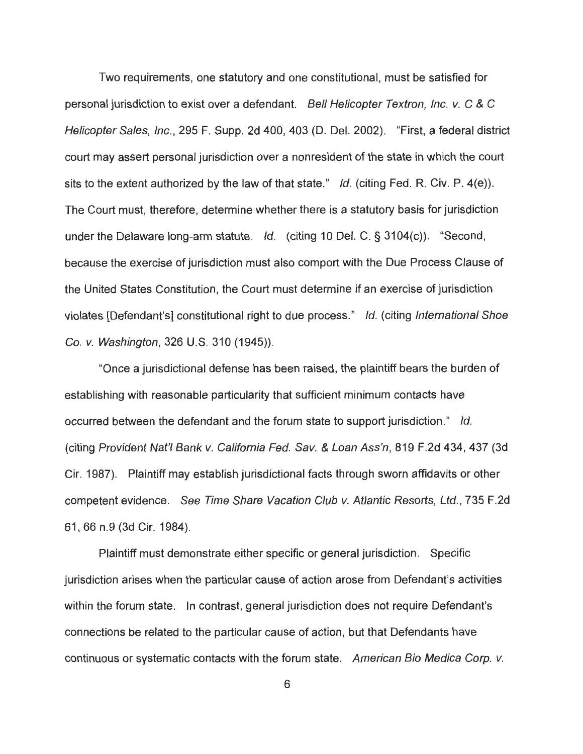Two requirements, one statutory and one constitutional, must be satisfied for personal jurisdiction to exist over a defendant. Bell Helicopter Textron, Inc. v. C & C Helicopter Sales, Inc., 295 F. Supp. 2d 400, 403 (D. Del. 2002). "First, a federal district court may assert personal jurisdiction over a nonresident of the state in which the court sits to the extent authorized by the law of that state." Id. (citing Fed. R. Civ. P.  $4(e)$ ). The Court must, therefore, determine whether there is a statutory basis for jurisdiction under the Delaware long-arm statute. Id. (citing 10 Del. C. § 3104(c)). "Second, because the exercise of jurisdiction must also comport with the Due Process Clause of the United States Constitution, the Court must determine if an exercise of jurisdiction violates [Defendant's] constitutional right to due process." Id. (citing International Shoe Co. v. Washington, 326 U.S. 310 (1945)).

"Once a jurisdictional defense has been raised, the plaintiff bears the burden of establishing with reasonable particularity that sufficient minimum contacts have occurred between the defendant and the forum state to support jurisdiction." Id. (citing Provident Nat'/ Bank v. California Fed. Sav. & Loan Ass'n, 819 F.2d 434, 437 (3d Cir. 1987). Plaintiff may establish jurisdictional facts through sworn affidavits or other competent evidence. See Time Share Vacation Club v. Atlantic Resorts, Ltd., 735 F.2d 61 , 66 n.9 (3d Cir. 1984).

Plaintiff must demonstrate either specific or general jurisdiction. Specific jurisdiction arises when the particular cause of action arose from Defendant's activities within the forum state. In contrast, general jurisdiction does not require Defendant's connections be related to the particular cause of action, but that Defendants have continuous or systematic contacts with the forum state. American Bio Medica Corp. v.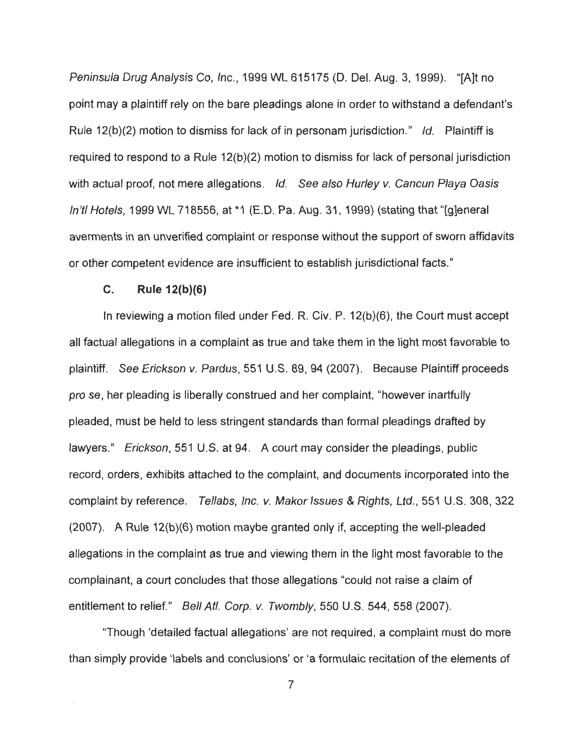Peninsula Drug Analysis Co, Inc. , 1999 WL 615175 (D. Del. Aug. 3, 1999). "[A]t no point may a plaintiff rely on the bare pleadings alone in order to withstand a defendant's Rule 12(b)(2) motion to dismiss for lack of in personam jurisdiction." Id. Plaintiff is required to respond to a Rule 12(b)(2) motion to dismiss for lack of personal jurisdiction with actual proof, not mere allegations. Id. See also Hurley v. Cancun Playa Oasis ln'tl Hotels, 1999 WL 718556, at \*1 (E.D. Pa. Aug. 31, 1999) (stating that "[g]eneral averments in an unverified complaint or response without the support of sworn affidavits or other competent evidence are insufficient to establish jurisdictional facts ."

## **C. Rule 12(b)(6)**

In reviewing a motion filed under Fed. R. Civ. P. 12(b)(6), the Court must accept all factual allegations in a complaint as true and take them in the light most favorable to plaintiff. See Erickson v. Pardus, 551 U.S. 89, 94 (2007). Because Plaintiff proceeds pro se, her pleading is liberally construed and her complaint, "however inartfully pleaded, must be held to less stringent standards than formal pleadings drafted by lawyers." Erickson, 551 U.S. at 94. A court may consider the pleadings, public record, orders, exhibits attached to the complaint, and documents incorporated into the complaint by reference. Tellabs, Inc. v. Makar Issues & Rights, Ltd., 551 U.S. 308, 322 (2007). A Rule 12(b)(6) motion maybe granted only if, accepting the well-pleaded allegations in the complaint as true and viewing them in the light most favorable to the complainant, a court concludes that those allegations "could not raise a claim of entitlement to relief." Bell Atl. Corp. v. Twombly, 550 U.S. 544, 558 (2007).

"Though 'detailed factual allegations' are not required, a complaint must do more than simply provide 'labels and conclusions' or 'a formulaic recitation of the elements of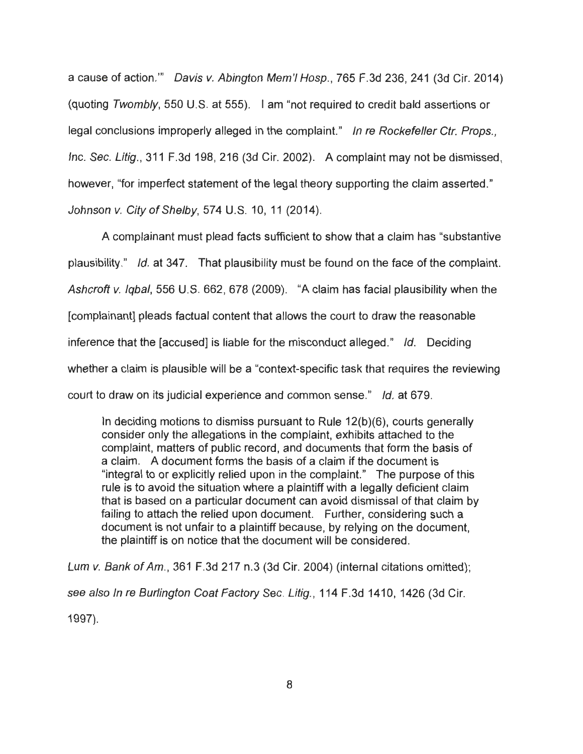a cause of action."' Davis v. Abington Mem'I Hosp., 765 F.3d 236, 241 (3d Cir. 2014) (quoting Twombly, 550 U.S. at 555). I am "not required to credit bald assertions or legal conclusions improperly alleged in the complaint." In re Rockefeller Ctr. Props., Inc. Sec. Litig., 311 F.3d 198,216 (3d Cir. 2002). A complaint may not be dismissed, however, "for imperfect statement of the legal theory supporting the claim asserted." Johnson v. City of Shelby, 574 U.S. 10, 11 (2014).

A complainant must plead facts sufficient to show that a claim has "substantive plausibility." Id. at 347. That plausibility must be found on the face of the complaint. Ashcroft v. Iqbal, 556 U.S. 662, 678 (2009). "A claim has facial plausibility when the [complainant] pleads factual content that allows the court to draw the reasonable inference that the [accused] is liable for the misconduct alleged." Id. Deciding whether a claim is plausible will be a "context-specific task that requires the reviewing court to draw on its judicial experience and common sense." Id. at 679.

In deciding motions to dismiss pursuant to Rule 12(b)(6), courts generally consider only the allegations in the complaint, exhibits attached to the complaint, matters of public record, and documents that form the basis of a claim. A document forms the basis of a claim if the document is "integral to or explicitly relied upon in the complaint." The purpose of this rule is to avoid the situation where a plaintiff with a legally deficient claim that is based on a particular document can avoid dismissal of that claim by failing to attach the relied upon document. Further, considering such a document is not unfair to a plaintiff because, by relying on the document, the plaintiff is on notice that the document will be considered.

Lum v. Bank of Am., 361 F.3d 217 n.3 (3d Cir. 2004) (internal citations omitted); see also In re Burlington Coat Factory Sec. Litig., 114 F.3d 1410, 1426 (3d Cir. 1997).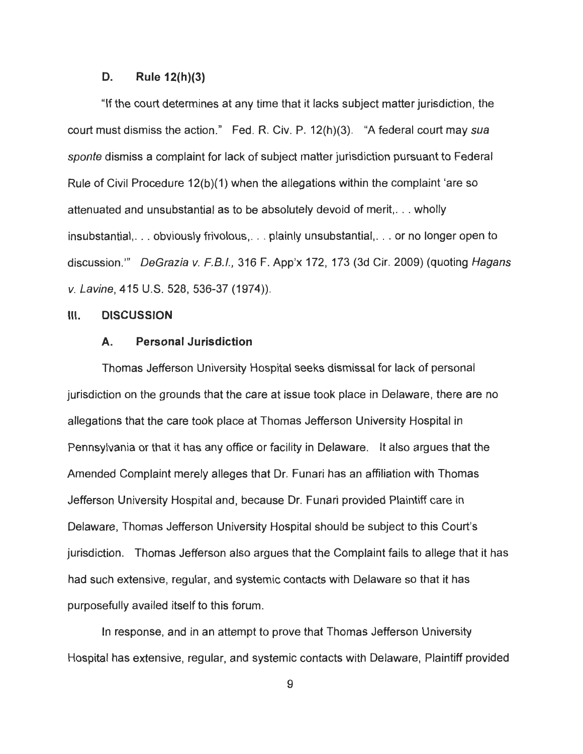### **D. Rule 12(h)(3)**

"If the court determines at any time that it lacks subject matter jurisdiction, the court must dismiss the action." Fed. R. Civ. P. 12(h)(3). "A federal court may sua sponte dismiss a complaint for lack of subject matter jurisdiction pursuant to Federal Rule of Civil Procedure 12(b)(1) when the allegations within the complaint 'are so attenuated and unsubstantial as to be absolutely devoid of merit, ... wholly insubstantial, ... obviously frivolous, ... plainly unsubstantial, ... or no longer open to discussion."' DeGrazia v. F.B.I., 316 F. App'x 172, 173 (3d Cir. 2009) (quoting Hagans v. Lavine, 415 U.S. 528, 536-37 (1974)).

#### **Ill. DISCUSSION**

#### **A. Personal Jurisdiction**

Thomas Jefferson University Hospital seeks dismissal for lack of personal jurisdiction on the grounds that the care at issue took place in Delaware, there are no allegations that the care took place at Thomas Jefferson University Hospital in Pennsylvania or that it has any office or facility in Delaware. It also argues that the Amended Complaint merely alleges that Dr. Funari has an affiliation with Thomas Jefferson University Hospital and, because Dr. Funari provided Plaintiff care in Delaware, Thomas Jefferson University Hospital should be subject to this Court's jurisdiction. Thomas Jefferson also argues that the Complaint fails to allege that it has had such extensive, regular, and systemic contacts with Delaware so that it has purposefully availed itself to this forum.

In response, and in an attempt to prove that Thomas Jefferson University Hospital has extensive, regular, and systemic contacts with Delaware, Plaintiff provided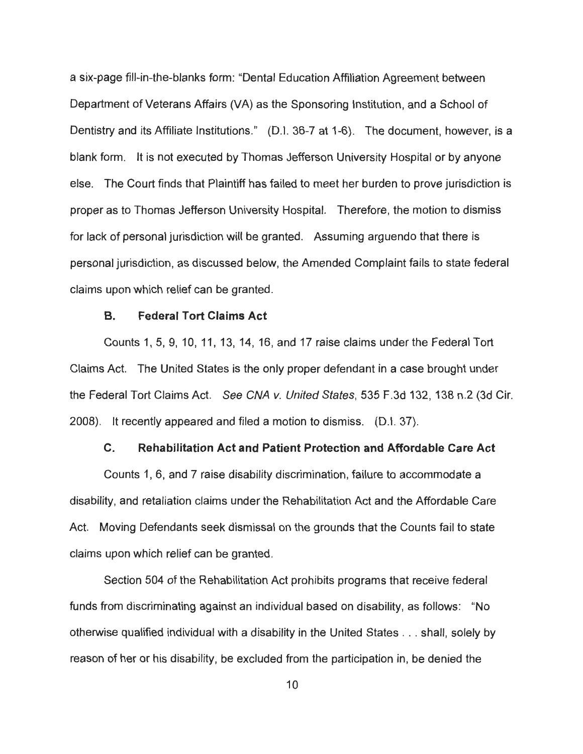a six-page fill-in-the-blanks form: "Dental Education Affiliation Agreement between Department of Veterans Affairs (VA) as the Sponsoring Institution, and a School of Dentistry and its Affiliate Institutions." (D.I. 36-7 at 1-6). The document, however, is a blank form. It is not executed by Thomas Jefferson University Hospital or by anyone else. The Court finds that Plaintiff has failed to meet her burden to prove jurisdiction is proper as to Thomas Jefferson University Hospital. Therefore, the motion to dismiss for lack of personal jurisdiction will be granted. Assuming arguendo that there is personal jurisdiction, as discussed below, the Amended Complaint fails to state federal claims upon which relief can be granted.

## **B. Federal Tort Claims Act**

Counts 1, 5, 9, 10, 11 , 13, 14, 16, and 17 raise claims under the Federal Tort Claims Act. The United States is the only proper defendant in a case brought under the Federal Tort Claims Act. See CNA v. United States, 535 F.3d 132, 138 n.2 (3d Cir. 2008). It recently appeared and filed a motion to dismiss. (D.I. 37).

## **C. Rehabilitation Act and Patient Protection and Affordable Care Act**

Counts 1, 6, and 7 raise disability discrimination, failure to accommodate a disability, and retaliation claims under the Rehabilitation Act and the Affordable Care Act. Moving Defendants seek dismissal on the grounds that the Counts fail to state claims upon which relief can be granted.

Section 504 of the Rehabilitation Act prohibits programs that receive federal funds from discriminating against an individual based on disability, as follows: "No otherwise qualified individual with a disability in the United States ... shall, solely by reason of her or his disability, be excluded from the participation in, be denied the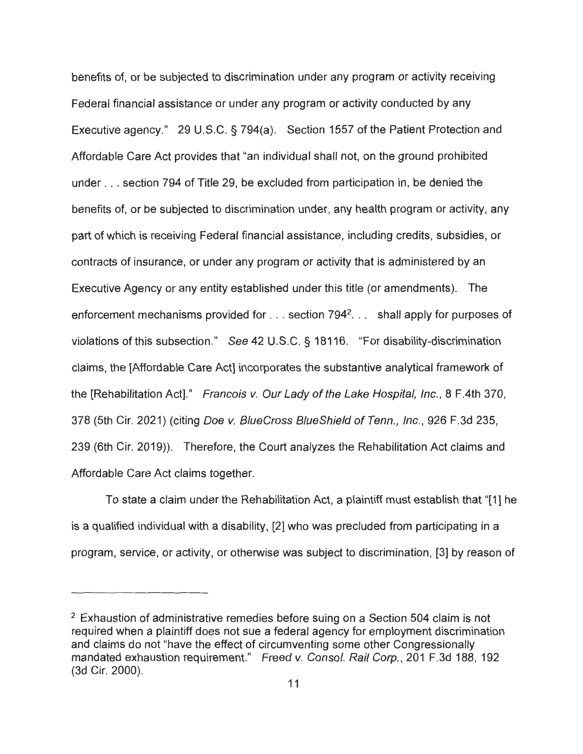benefits of, or be subjected to discrimination under any program or activity receiving Federal financial assistance or under any program or activity conducted by any Executive agency." 29 U.S.C. § 794(a). Section 1557 of the Patient Protection and Affordable Care Act provides that "an individual shall not, on the ground prohibited under . . . section 794 of Title 29, be excluded from participation in, be denied the benefits of, or be subjected to discrimination under, any health program or activity, any part of which is receiving Federal financial assistance, including credits, subsidies, or contracts of insurance, or under any program or activity that is administered by an Executive Agency or any entity established under this title (or amendments). The enforcement mechanisms provided for . . . section 794<sup>2</sup>. . . shall apply for purposes of violations of this subsection." See 42 U.S.C. § 18116. "For disability-discrimination claims, the [Affordable Care Act] incorporates the substantive analytical framework of the [Rehabilitation Act]." Francois v. Our Lady of the Lake Hospital, Inc., 8 F.4th 370, 378 (5th Cir. 2021) (citing Doe v. BlueCross BlueShield of Tenn. , Inc., 926 F.3d 235, 239 (6th Cir. 2019)). Therefore, the Court analyzes the Rehabilitation Act claims and Affordable Care Act claims together.

To state a claim under the Rehabilitation Act, a plaintiff must establish that "[1] he is a qualified individual with a disability, [2] who was precluded from participating in a program, service, or activity, or otherwise was subject to discrimination, [3] by reason of

<sup>&</sup>lt;sup>2</sup> Exhaustion of administrative remedies before suing on a Section 504 claim is not required when a plaintiff does not sue a federal agency for employment discrimination and claims do not "have the effect of circumventing some other Congressionally mandated exhaustion requirement." Freed v. Consol. Rail Corp., 201 F.3d 188, 192 (3d Cir. 2000).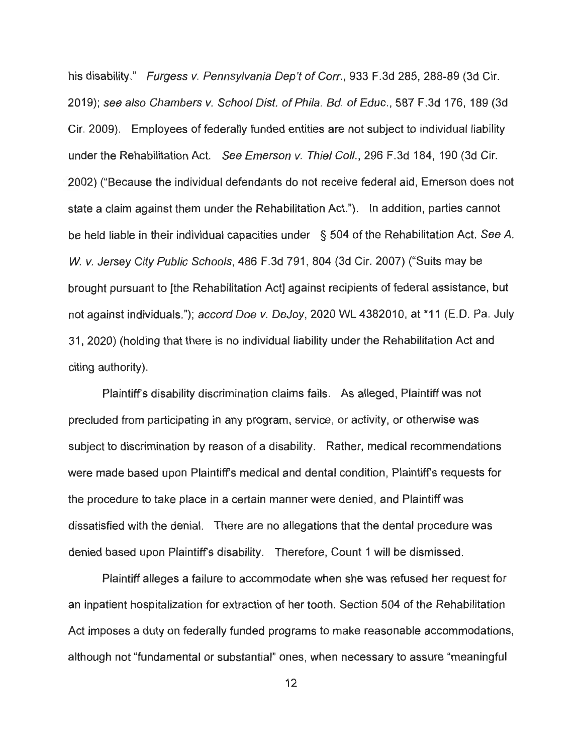his disability." Furgess v. Pennsylvania Dep't of Corr., 933 F.3d 285, 288-89 (3d Cir. 2019); see also Chambers v. School Dist. of Phila. Bd. of Educ., 587 F.3d 176, 189 (3d Cir. 2009). Employees of federally funded entities are not subject to individual liability under the Rehabilitation Act. See Emerson v. Thiel Coll., 296 F.3d 184, 190 (3d Cir. 2002) ("Because the individual defendants do not receive federal aid, Emerson does not state a claim against them under the Rehabilitation Act."). In addition, parties cannot be held liable in their individual capacities under § 504 of the Rehabilitation Act. See A. W. v. Jersey City Public Schools, 486 F.3d 791, 804 (3d Cir. 2007) ("Suits may be brought pursuant to [the Rehabilitation Act] against recipients of federal assistance, but not against individuals."); accord Doe v. DeJoy, 2020 WL 4382010, at \*11 (E.D. Pa. July 31 , 2020) (holding that there is no individual liability under the Rehabilitation Act and citing authority).

Plaintiff's disability discrimination claims fails. As alleged, Plaintiff was not precluded from participating in any program, service, or activity, or otherwise was subject to discrimination by reason of a disability. Rather, medical recommendations were made based upon Plaintiff's medical and dental condition, Plaintiff's requests for the procedure to take place in a certain manner were denied, and Plaintiff was dissatisfied with the denial. There are no allegations that the dental procedure was denied based upon Plaintiff's disability. Therefore, Count 1 will be dismissed.

Plaintiff alleges a failure to accommodate when she was refused her request for an inpatient hospitalization for extraction of her tooth. Section 504 of the Rehabilitation Act imposes a duty on federally funded programs to make reasonable accommodations, although not "fundamental or substantial" ones, when necessary to assure "meaningful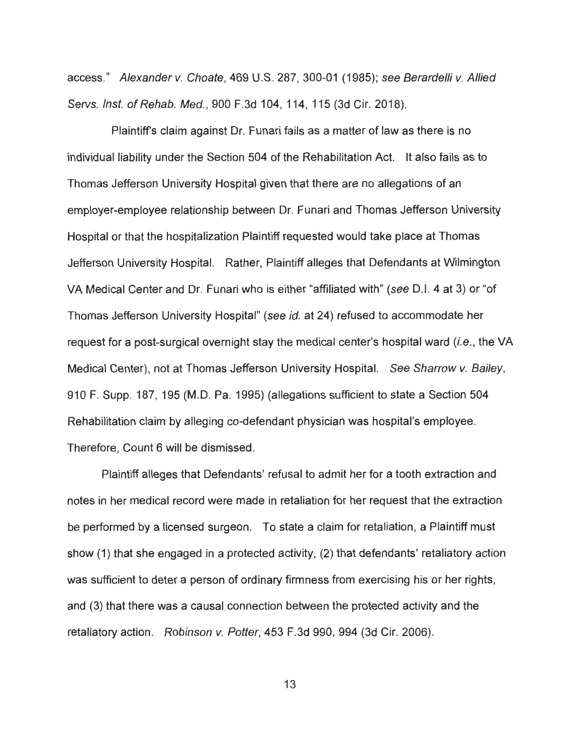access." Alexander v. Choate, 469 U.S. 287, 300-01 (1985); see Berardelli v. Allied Servs. Inst. of Rehab. Med., 900 F.3d 104, 114, 115 (3d Cir. 2018).

Plaintiff's claim against Dr. Funari fails as a matter of law as there is no individual liability under the Section 504 of the Rehabilitation Act. It also fails as to Thomas Jefferson University Hospital given that there are no allegations of an employer-employee relationship between Dr. Funari and Thomas Jefferson University Hospital or that the hospitalization Plaintiff requested would take place at Thomas Jefferson University Hospital. Rather, Plaintiff alleges that Defendants at Wilmington VA Medical Center and Dr. Funari who is either "affiliated with" (see 0 .1. 4 at 3) or "of Thomas Jefferson University Hospital" (see id. at 24) refused to accommodate her request for a post-surgical overnight stay the medical center's hospital ward (i.e., the VA Medical Center), not at Thomas Jefferson University Hospital. See Sharrow v. Bailey, 910 F. Supp. 187, 195 (M.D. Pa. 1995) (allegations sufficient to state a Section 504 Rehabilitation claim by alleging co-defendant physician was hospital's employee. Therefore, Count 6 will be dismissed.

Plaintiff alleges that Defendants' refusal to admit her for a tooth extraction and notes in her medical record were made in retaliation for her request that the extraction be performed by a licensed surgeon. To state a claim for retaliation, a Plaintiff must show (1) that she engaged in a protected activity, (2) that defendants' retaliatory action was sufficient to deter a person of ordinary firmness from exercising his or her rights, and (3) that there was a causal connection between the protected activity and the retaliatory action. Robinson v. Potter, 453 F.3d 990, 994 (3d Cir. 2006).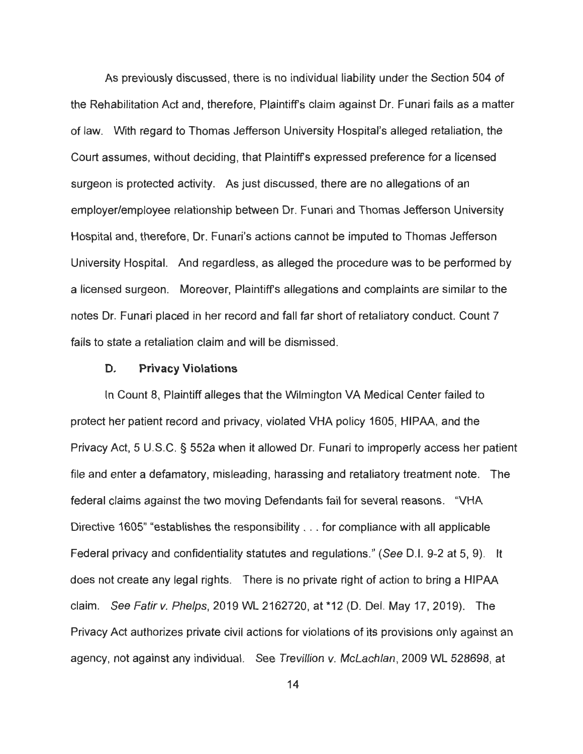As previously discussed, there is no individual liability under the Section 504 of the Rehabilitation Act and, therefore, Plaintiffs claim against Dr. Funari fails as a matter of law. With regard to Thomas Jefferson University Hospital's alleged retaliation , the Court assumes, without deciding, that Plaintiffs expressed preference for a licensed surgeon is protected activity. As just discussed, there are no allegations of an employer/employee relationship between Dr. Funari and Thomas Jefferson University Hospital and, therefore, Dr. Funari's actions cannot be imputed to Thomas Jefferson University Hospital. And regardless, as alleged the procedure was to be performed by a licensed surgeon. Moreover, Plaintiffs allegations and complaints are similar to the notes Dr. Funari placed in her record and fall far short of retaliatory conduct. Count 7 fails to state a retaliation claim and will be dismissed.

## **D. Privacy Violations**

In Count 8, Plaintiff alleges that the Wilmington VA Medical Center failed to protect her patient record and privacy, violated VHA policy 1605, HIPAA, and the Privacy Act, 5 U.S.C. § 552a when it allowed Dr. Funari to improperly access her patient file and enter a defamatory, misleading, harassing and retaliatory treatment note. The federal claims against the two moving Defendants fail for several reasons. "VHA Directive 1605" "establishes the responsibility . .. for compliance with all applicable Federal privacy and confidentiality statutes and regulations." (See D.I. 9-2 at 5, 9). It does not create any legal rights. There is no private right of action to bring a HIPAA claim. See Fatir v. Phelps, 2019 WL 2162720, at \*12 (D. Del. May 17, 2019). The Privacy Act authorizes private civil actions for violations of its provisions only against an agency, not against any individual. See Trevillion v. McLachlan, 2009 WL 528698, at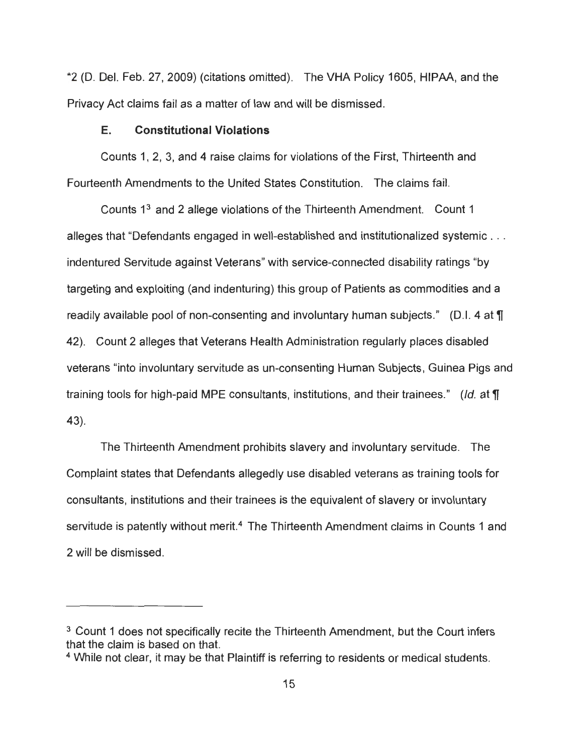\*2 (D. Del. Feb. 27, 2009) (citations omitted). The VHA Policy 1605, HIPAA, and the Privacy Act claims fail as a matter of law and will be dismissed.

## **E. Constitutional Violations**

Counts 1, 2, 3, and 4 raise claims for violations of the First, Thirteenth and Fourteenth Amendments to the United States Constitution. The claims fail.

Counts 13 and 2 allege violations of the Thirteenth Amendment. Count 1 alleges that "Defendants engaged in well-established and institutionalized systemic . . . indentured Servitude against Veterans" with service-connected disability ratings "by targeting and exploiting (and indenturing) this group of Patients as commodities and a readily available pool of non-consenting and involuntary human subjects." (D.I. 4 at **<sup>11</sup>** 42). Count 2 alleges that Veterans Health Administration regularly places disabled veterans "into involuntary servitude as un-consenting Human Subjects, Guinea Pigs and training tools for high-paid MPE consultants, institutions, and their trainees." (Id. at **<sup>11</sup>** 43).

The Thirteenth Amendment prohibits slavery and involuntary servitude. The Complaint states that Defendants allegedly use disabled veterans as training tools for consultants, institutions and their trainees is the equivalent of slavery or involuntary servitude is patently without merit.<sup>4</sup> The Thirteenth Amendment claims in Counts 1 and 2 will be dismissed.

<sup>&</sup>lt;sup>3</sup> Count 1 does not specifically recite the Thirteenth Amendment, but the Court infers that the claim is based on that.

<sup>4</sup> While not clear, it may be that Plaintiff is referring to residents or medical students.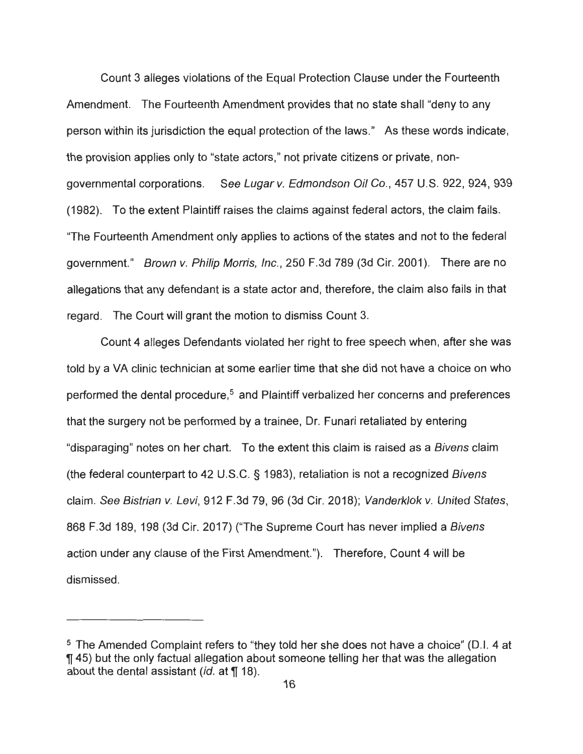Count 3 alleges violations of the Equal Protection Clause under the Fourteenth Amendment. The Fourteenth Amendment provides that no state shall "deny to any person within its jurisdiction the equal protection of the laws." As these words indicate, the provision applies only to "state actors," not private citizens or private, nongovernmental corporations. See Lugar v. Edmondson Oil Co., 457 U.S. 922, 924, 939 (1982). To the extent Plaintiff raises the claims against federal actors, the claim fails . "The Fourteenth Amendment only applies to actions of the states and not to the federal government." Brown v. Philip Morris, Inc., 250 F.3d 789 (3d Cir. 2001). There are no allegations that any defendant is a state actor and, therefore, the claim also fails in that regard. The Court will grant the motion to dismiss Count 3.

Count 4 alleges Defendants violated her right to free speech when , after she was told by a VA clinic technician at some earlier time that she did not have a choice on who performed the dental procedure.<sup>5</sup> and Plaintiff verbalized her concerns and preferences that the surgery not be performed by a trainee, Dr. Funari retaliated by entering "disparaging" notes on her chart. To the extent this claim is raised as a Bivens claim (the federal counterpart to 42 U.S.C. § 1983), retaliation is not a recognized Bivens claim. See Bistrian v. Levi, 912 F.3d 79, 96 (3d Cir. 2018); Vanderklok v. United States, 868 F.3d 189, 198 (3d Cir. 2017) ("The Supreme Court has never implied a Bivens action under any clause of the First Amendment."). Therefore, Count 4 will be dismissed.

<sup>5</sup> The Amended Complaint refers to "they told her she does not have a choice" (0.1. 4 at **145)** but the only factual allegation about someone telling her that was the allegation about the dental assistant *(id. at* 18).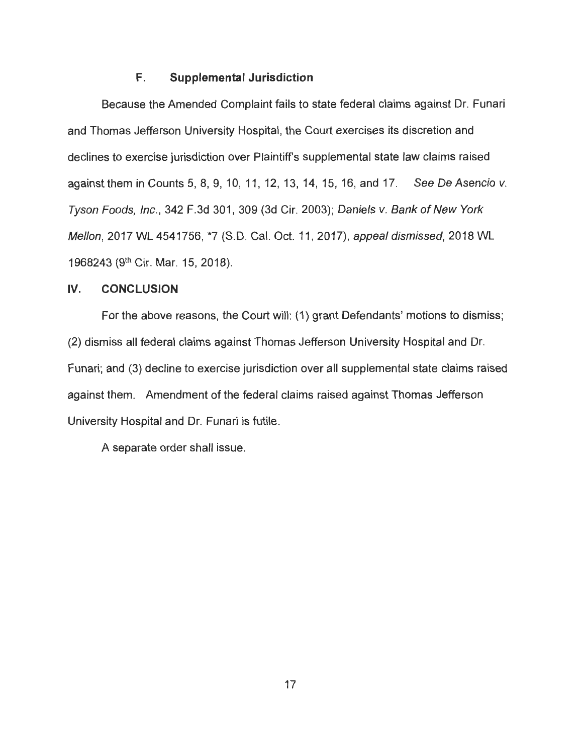## **F. Supplemental Jurisdiction**

Because the Amended Complaint fails to state federal claims against Dr. Funari and Thomas Jefferson University Hospital, the Court exercises its discretion and declines to exercise jurisdiction over Plaintiff's supplemental state law claims raised against them in Counts 5, 8, 9, 10, 11, 12, 13, 14, 15, 16, and 17. See De Asencio v. Tyson Foods, Inc., 342 F.3d 301, 309 (3d Cir. 2003); Daniels v. Bank of New York Mellon, 2017 WL 4541756, \*7 (S.D. Cal. Oct. 11 , 2017), appeal dismissed, 2018 WL 1968243 (9th Cir. Mar. 15, 2018).

## **IV. CONCLUSION**

For the above reasons, the Court will: (1) grant Defendants' motions to dismiss; (2) dismiss all federal claims against Thomas Jefferson University Hospital and Dr. Funari; and (3) decline to exercise jurisdiction over all supplemental state claims raised against them. Amendment of the federal claims raised against Thomas Jefferson University Hospital and Dr. Funari is futile.

A separate order shall issue.